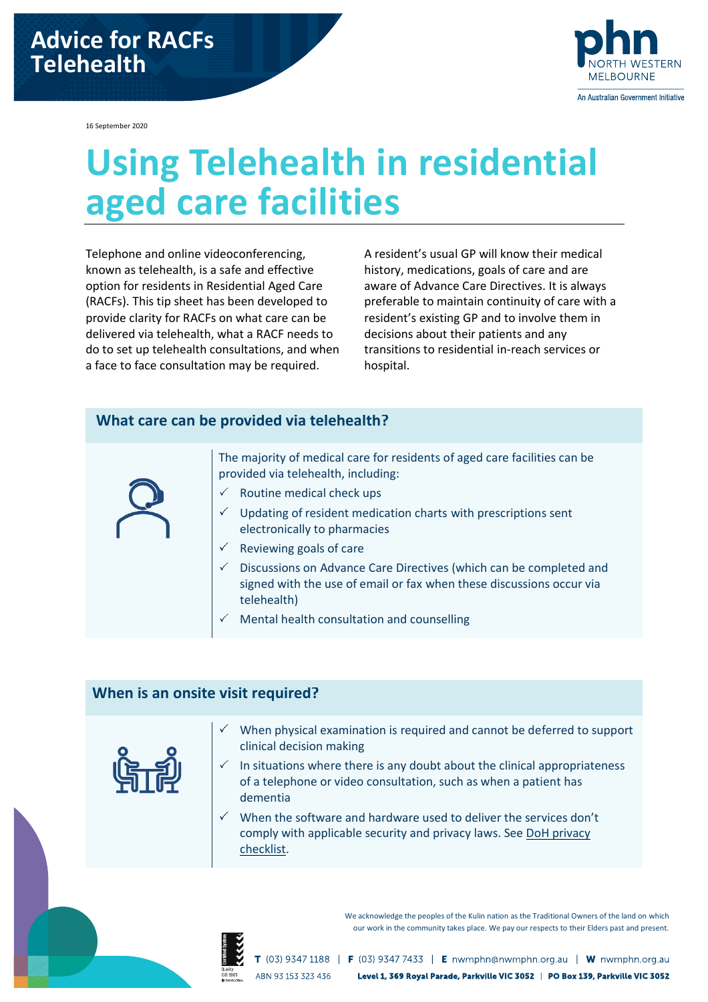16 September 2020



# **Using Telehealth in residential aged care facilities**

Telephone and online videoconferencing, known as telehealth, is a safe and effective option for residents in Residential Aged Care (RACFs). This tip sheet has been developed to provide clarity for RACFs on what care can be delivered via telehealth, what a RACF needs to do to set up telehealth consultations, and when a face to face consultation may be required.

A resident's usual GP will know their medical history, medications, goals of care and are aware of Advance Care Directives. It is always preferable to maintain continuity of care with a resident's existing GP and to involve them in decisions about their patients and any transitions to residential in-reach services or hospital.

# **What care can be provided via telehealth?**

| The majority of medical care for residents of aged care facilities can be<br>provided via telehealth, including:<br>Routine medical check ups                  |
|----------------------------------------------------------------------------------------------------------------------------------------------------------------|
| Updating of resident medication charts with prescriptions sent<br>✓<br>electronically to pharmacies                                                            |
| Reviewing goals of care                                                                                                                                        |
| Discussions on Advance Care Directives (which can be completed and<br>✓<br>signed with the use of email or fax when these discussions occur via<br>telehealth) |
| Mental health consultation and counselling                                                                                                                     |

# **When is an onsite visit required?**

- When physical examination is required and cannot be deferred to support clinical decision making
- In situations where there is any doubt about the clinical appropriateness of a telephone or video consultation, such as when a patient has dementia

 $\checkmark$ When the software and hardware used to deliver the services don't comply with applicable security and privacy laws. See DoH privacy [checklist.](http://www.mbsonline.gov.au/internet/mbsonline/publishing.nsf/Content/Factsheet-TelehealthPrivChecklist)



We acknowledge the peoples of the Kulin nation as the Traditional Owners of the land on which our work in the community takes place. We pay our respects to their Elders past and present.

ABN 93 153 323 436

 $(03)$  9347 1188 | **F**  $(03)$  9347 7433 | **E** nwmphn@nwmphn.org.au | **W** nwmphn.org.au Level 1, 369 Royal Parade, Parkville VIC 3052 | PO Box 139, Parkville VIC 3052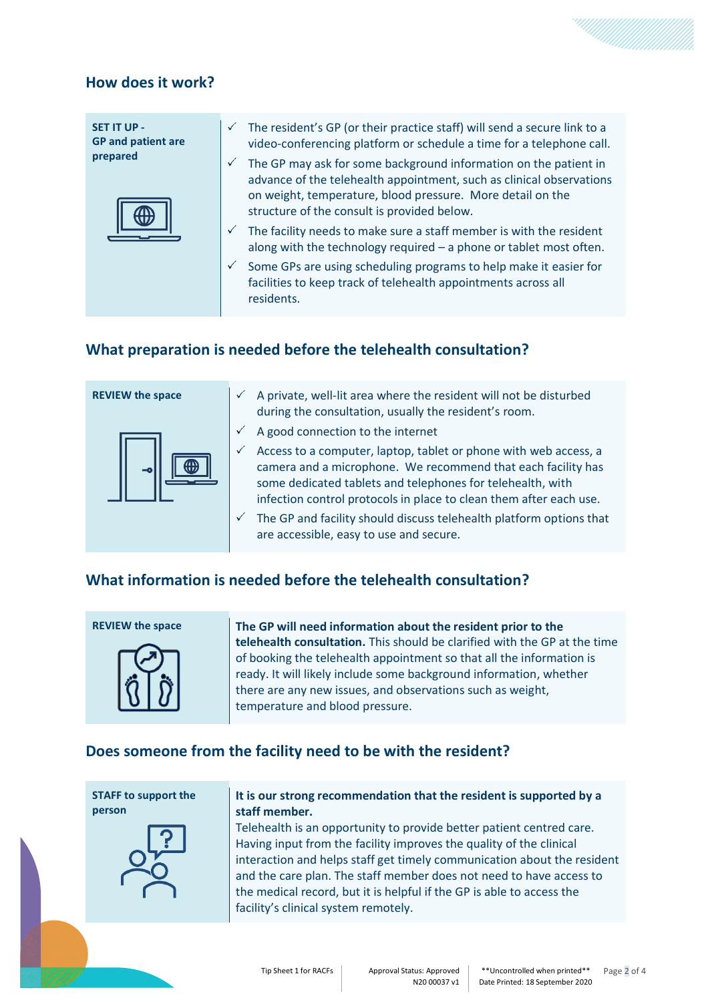## **How does it work?**



## **What preparation is needed before the telehealth consultation?**



- **REVIEW the space**  $\sqrt{4}$  A private, well-lit area where the resident will not be disturbed during the consultation, usually the resident's room.
	- $\checkmark$  A good connection to the internet
	- $\checkmark$  Access to a computer, laptop, tablet or phone with web access, a camera and a microphone. We recommend that each facility has some dedicated tablets and telephones for telehealth, with infection control protocols in place to clean them after each use.
	- The GP and facility should discuss telehealth platform options that are accessible, easy to use and secure.

# **What information is needed before the telehealth consultation?**



**REVIEW the space The GP will need information about the resident prior to the telehealth consultation.** This should be clarified with the GP at the time of booking the telehealth appointment so that all the information is ready. It will likely include some background information, whether there are any new issues, and observations such as weight, temperature and blood pressure.

## **Does someone from the facility need to be with the resident?**

**STAFF to support the person**



#### **It is our strong recommendation that the resident is supported by a staff member.**

Telehealth is an opportunity to provide better patient centred care. Having input from the facility improves the quality of the clinical interaction and helps staff get timely communication about the resident and the care plan. The staff member does not need to have access to the medical record, but it is helpful if the GP is able to access the facility's clinical system remotely.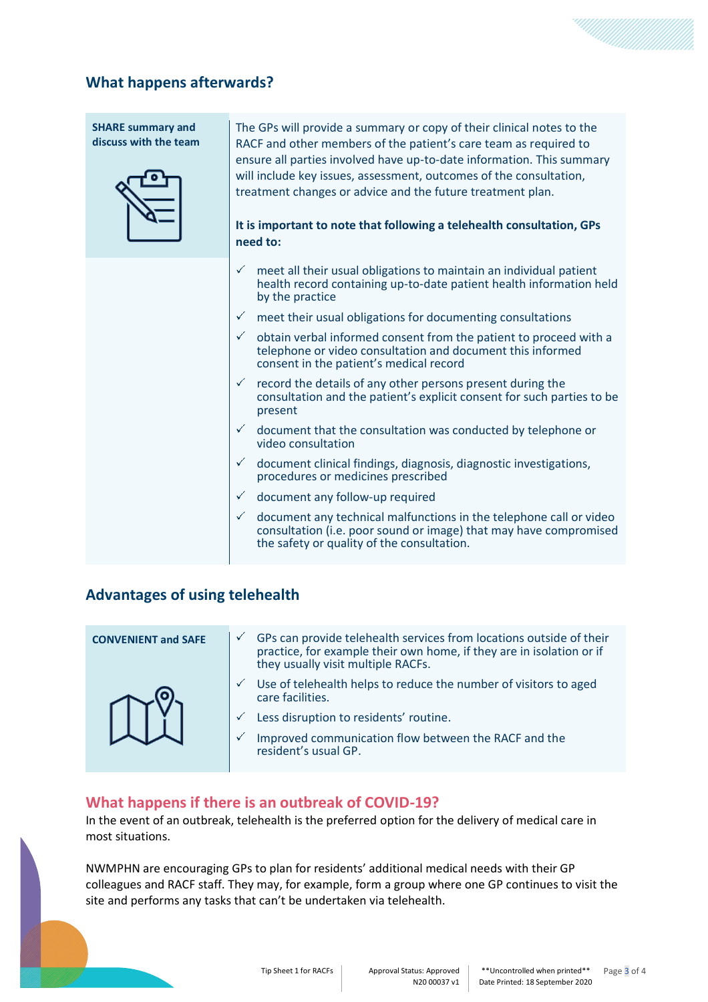# **What happens afterwards?**

**SHARE summary and discuss with the team**



The GPs will provide a summary or copy of their clinical notes to the RACF and other members of the patient's care team as required to ensure all parties involved have up-to-date information. This summary will include key issues, assessment, outcomes of the consultation, treatment changes or advice and the future treatment plan.

#### **It is important to note that following a telehealth consultation, GPs need to:**

- meet all their usual obligations to maintain an individual patient health record containing up-to-date patient health information held by the practice
- meet their usual obligations for documenting consultations
- $\checkmark$  obtain verbal informed consent from the patient to proceed with a telephone or video consultation and document this informed consent in the patient's medical record
- $\checkmark$  record the details of any other persons present during the consultation and the patient's explicit consent for such parties to be present
- document that the consultation was conducted by telephone or video consultation
- $\checkmark$  document clinical findings, diagnosis, diagnostic investigations, procedures or medicines prescribed
- document any follow-up required
- $\checkmark$  document any technical malfunctions in the telephone call or video consultation (i.e. poor sound or image) that may have compromised the safety or quality of the consultation.

# **Advantages of using telehealth**

| <b>CONVENIENT and SAFE</b> | √ | GPs can provide telehealth services from locations outside of their<br>practice, for example their own home, if they are in isolation or if<br>they usually visit multiple RACFs. |
|----------------------------|---|-----------------------------------------------------------------------------------------------------------------------------------------------------------------------------------|
|                            | √ | Use of telehealth helps to reduce the number of visitors to aged<br>care facilities.                                                                                              |
|                            | √ | Less disruption to residents' routine.                                                                                                                                            |
|                            | √ | Improved communication flow between the RACF and the<br>resident's usual GP.                                                                                                      |

## **What happens if there is an outbreak of COVID-19?**

In the event of an outbreak, telehealth is the preferred option for the delivery of medical care in most situations.

NWMPHN are encouraging GPs to plan for residents' additional medical needs with their GP colleagues and RACF staff. They may, for example, form a group where one GP continues to visit the site and performs any tasks that can't be undertaken via telehealth.